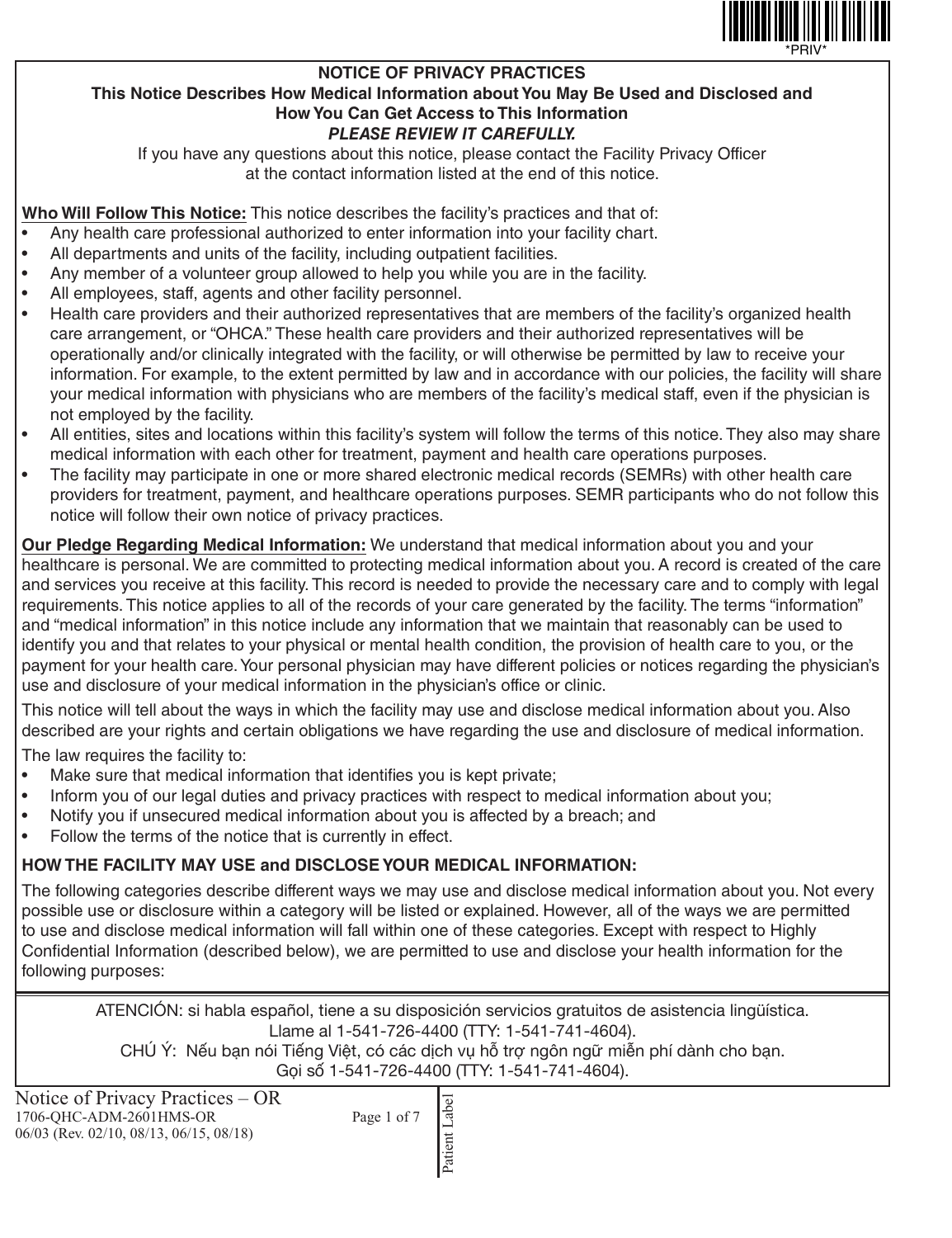

#### **NOTICE OF PRIVACY PRACTICES This Notice Describes How Medical Information about You May Be Used and Disclosed and How You Can Get Access to This Information** *PLEASE REVIEW IT CAREFULLY.*

If you have any questions about this notice, please contact the Facility Privacy Officer at the contact information listed at the end of this notice.

**Who Will Follow This Notice:** This notice describes the facility's practices and that of:

- Any health care professional authorized to enter information into your facility chart.
- All departments and units of the facility, including outpatient facilities.
- Any member of a volunteer group allowed to help you while you are in the facility.
- All employees, staff, agents and other facility personnel.
- Health care providers and their authorized representatives that are members of the facility's organized health care arrangement, or "OHCA." These health care providers and their authorized representatives will be operationally and/or clinically integrated with the facility, or will otherwise be permitted by law to receive your information. For example, to the extent permitted by law and in accordance with our policies, the facility will share your medical information with physicians who are members of the facility's medical staff, even if the physician is not employed by the facility.
- All entities, sites and locations within this facility's system will follow the terms of this notice. They also may share medical information with each other for treatment, payment and health care operations purposes.
- The facility may participate in one or more shared electronic medical records (SEMRs) with other health care providers for treatment, payment, and healthcare operations purposes. SEMR participants who do not follow this notice will follow their own notice of privacy practices.

**Our Pledge Regarding Medical Information:** We understand that medical information about you and your healthcare is personal. We are committed to protecting medical information about you. A record is created of the care and services you receive at this facility. This record is needed to provide the necessary care and to comply with legal requirements. This notice applies to all of the records of your care generated by the facility. The terms "information" and "medical information" in this notice include any information that we maintain that reasonably can be used to identify you and that relates to your physical or mental health condition, the provision of health care to you, or the payment for your health care. Your personal physician may have different policies or notices regarding the physician's use and disclosure of your medical information in the physician's office or clinic.

This notice will tell about the ways in which the facility may use and disclose medical information about you. Also described are your rights and certain obligations we have regarding the use and disclosure of medical information.

The law requires the facility to:

- Make sure that medical information that identifies you is kept private;
- Inform you of our legal duties and privacy practices with respect to medical information about you;
- Notify you if unsecured medical information about you is affected by a breach; and
- Follow the terms of the notice that is currently in effect.

### **HOW THE FACILITY MAY USE and DISCLOSE YOUR MEDICAL INFORMATION:**

The following categories describe different ways we may use and disclose medical information about you. Not every possible use or disclosure within a category will be listed or explained. However, all of the ways we are permitted to use and disclose medical information will fall within one of these categories. Except with respect to Highly Confidential Information (described below), we are permitted to use and disclose your health information for the following purposes:

ATENCIÓN: si habla español, tiene a su disposición servicios gratuitos de asistencia lingüística. Llame al 1-541-726-4400 (TTY: 1-541-741-4604). CHÚ Ý: Nếu bạn nói Tiếng Việt, có các dịch vụ hỗ trợ ngôn ngữ miễn phí dành cho bạn.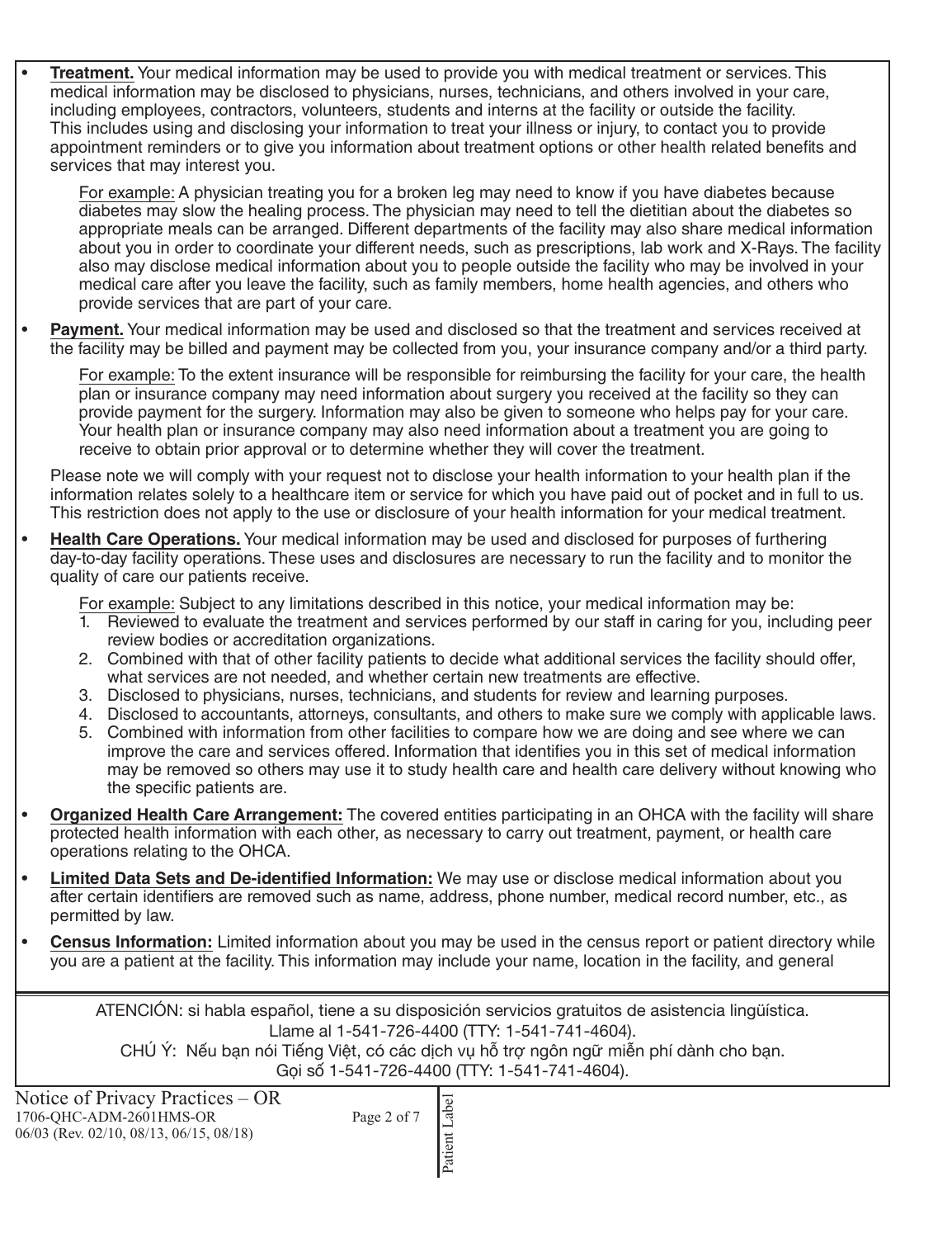• **Treatment.** Your medical information may be used to provide you with medical treatment or services. This medical information may be disclosed to physicians, nurses, technicians, and others involved in your care, including employees, contractors, volunteers, students and interns at the facility or outside the facility. This includes using and disclosing your information to treat your illness or injury, to contact you to provide appointment reminders or to give you information about treatment options or other health related benefits and services that may interest you.

For example: A physician treating you for a broken leg may need to know if you have diabetes because diabetes may slow the healing process. The physician may need to tell the dietitian about the diabetes so appropriate meals can be arranged. Different departments of the facility may also share medical information about you in order to coordinate your different needs, such as prescriptions, lab work and X-Rays. The facility also may disclose medical information about you to people outside the facility who may be involved in your medical care after you leave the facility, such as family members, home health agencies, and others who provide services that are part of your care.

**Payment.** Your medical information may be used and disclosed so that the treatment and services received at the facility may be billed and payment may be collected from you, your insurance company and/or a third party.

For example: To the extent insurance will be responsible for reimbursing the facility for your care, the health plan or insurance company may need information about surgery you received at the facility so they can provide payment for the surgery. Information may also be given to someone who helps pay for your care. Your health plan or insurance company may also need information about a treatment you are going to receive to obtain prior approval or to determine whether they will cover the treatment.

Please note we will comply with your request not to disclose your health information to your health plan if the information relates solely to a healthcare item or service for which you have paid out of pocket and in full to us. This restriction does not apply to the use or disclosure of your health information for your medical treatment.

• **Health Care Operations.** Your medical information may be used and disclosed for purposes of furthering day-to-day facility operations. These uses and disclosures are necessary to run the facility and to monitor the quality of care our patients receive.

For example: Subject to any limitations described in this notice, your medical information may be:

- 1. Reviewed to evaluate the treatment and services performed by our staff in caring for you, including peer review bodies or accreditation organizations.
- 2. Combined with that of other facility patients to decide what additional services the facility should offer, what services are not needed, and whether certain new treatments are effective.
- 3. Disclosed to physicians, nurses, technicians, and students for review and learning purposes.
- 4. Disclosed to accountants, attorneys, consultants, and others to make sure we comply with applicable laws.
- 5. Combined with information from other facilities to compare how we are doing and see where we can improve the care and services offered. Information that identifies you in this set of medical information may be removed so others may use it to study health care and health care delivery without knowing who the specific patients are.
- **Organized Health Care Arrangement:** The covered entities participating in an OHCA with the facility will share protected health information with each other, as necessary to carry out treatment, payment, or health care operations relating to the OHCA.
- **Limited Data Sets and De-identified Information:** We may use or disclose medical information about you after certain identifiers are removed such as name, address, phone number, medical record number, etc., as permitted by law.
- **Census Information:** Limited information about you may be used in the census report or patient directory while you are a patient at the facility. This information may include your name, location in the facility, and general

ATENCIÓN: si habla español, tiene a su disposición servicios gratuitos de asistencia lingüística. Llame al 1-541-726-4400 (TTY: 1-541-741-4604). CHÚ Ý: Nếu bạn nói Tiếng Việt, có các dịch vụ hỗ trợ ngôn ngữ miễn phí dành cho bạn.

| Notice of Privacy Practices – OR<br>1706-OHC-ADM-2601HMS-OR<br>$06/03$ (Rev. 02/10, 08/13, 06/15, 08/18) | Page 2 of 7 |  |
|----------------------------------------------------------------------------------------------------------|-------------|--|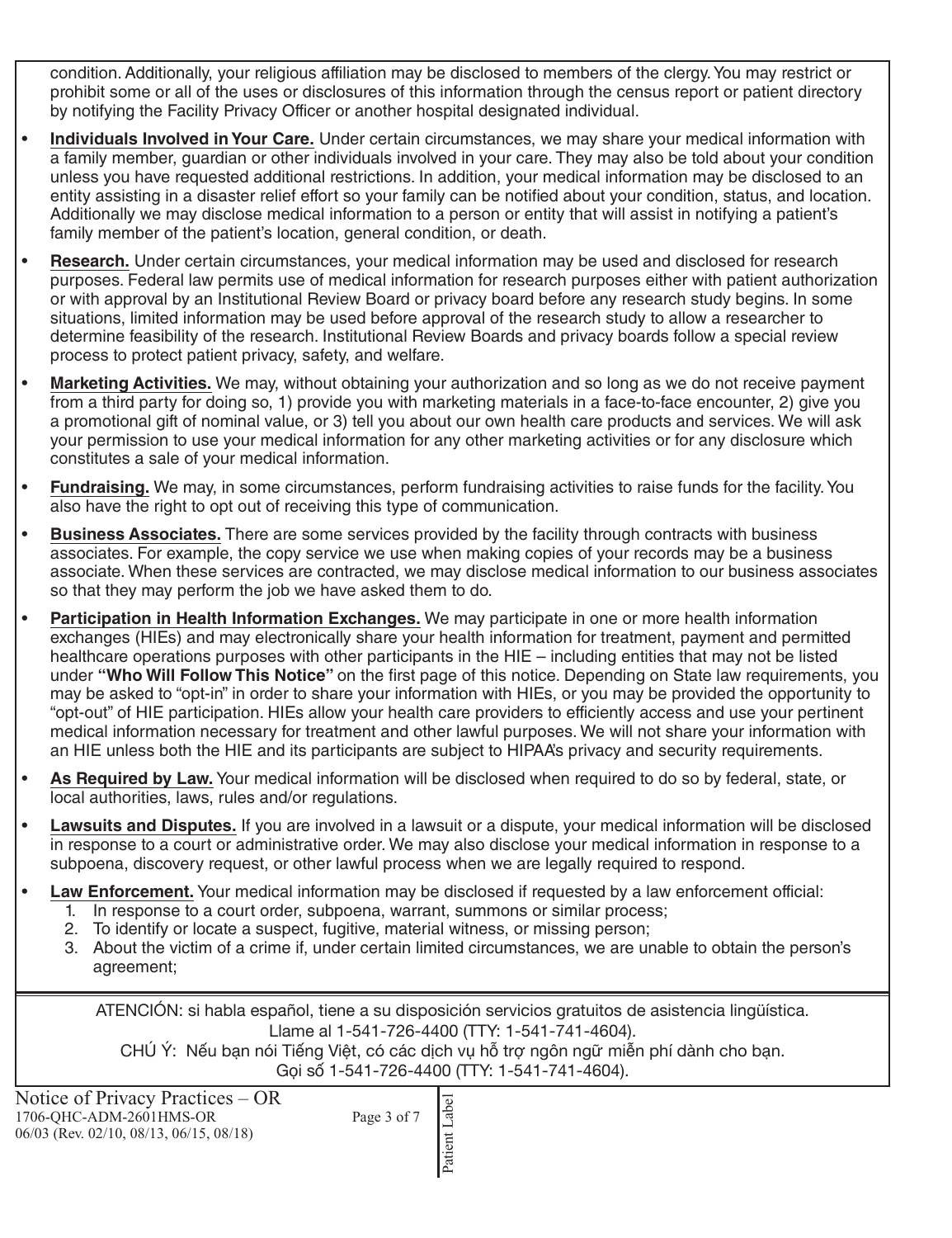condition. Additionally, your religious affiliation may be disclosed to members of the clergy. You may restrict or prohibit some or all of the uses or disclosures of this information through the census report or patient directory by notifying the Facility Privacy Officer or another hospital designated individual.

- **Individuals Involved in Your Care.** Under certain circumstances, we may share your medical information with a family member, guardian or other individuals involved in your care. They may also be told about your condition unless you have requested additional restrictions. In addition, your medical information may be disclosed to an entity assisting in a disaster relief effort so your family can be notified about your condition, status, and location. Additionally we may disclose medical information to a person or entity that will assist in notifying a patient's family member of the patient's location, general condition, or death.
- **Research.** Under certain circumstances, your medical information may be used and disclosed for research purposes. Federal law permits use of medical information for research purposes either with patient authorization or with approval by an Institutional Review Board or privacy board before any research study begins. In some situations, limited information may be used before approval of the research study to allow a researcher to determine feasibility of the research. Institutional Review Boards and privacy boards follow a special review process to protect patient privacy, safety, and welfare.
- **Marketing Activities.** We may, without obtaining your authorization and so long as we do not receive payment from a third party for doing so, 1) provide you with marketing materials in a face-to-face encounter, 2) give you a promotional gift of nominal value, or 3) tell you about our own health care products and services. We will ask your permission to use your medical information for any other marketing activities or for any disclosure which constitutes a sale of your medical information.
- **Fundraising.** We may, in some circumstances, perform fundraising activities to raise funds for the facility. You also have the right to opt out of receiving this type of communication.
- **Business Associates.** There are some services provided by the facility through contracts with business associates. For example, the copy service we use when making copies of your records may be a business associate. When these services are contracted, we may disclose medical information to our business associates so that they may perform the job we have asked them to do.
- **Participation in Health Information Exchanges.** We may participate in one or more health information exchanges (HIEs) and may electronically share your health information for treatment, payment and permitted healthcare operations purposes with other participants in the HIE – including entities that may not be listed under **"Who Will Follow This Notice"** on the first page of this notice. Depending on State law requirements, you may be asked to "opt-in" in order to share your information with HIEs, or you may be provided the opportunity to "opt-out" of HIE participation. HIEs allow your health care providers to efficiently access and use your pertinent medical information necessary for treatment and other lawful purposes. We will not share your information with an HIE unless both the HIE and its participants are subject to HIPAA's privacy and security requirements.
- **As Required by Law.** Your medical information will be disclosed when required to do so by federal, state, or local authorities, laws, rules and/or regulations.
- **Lawsuits and Disputes.** If you are involved in a lawsuit or a dispute, your medical information will be disclosed in response to a court or administrative order. We may also disclose your medical information in response to a subpoena, discovery request, or other lawful process when we are legally required to respond.
- **Law Enforcement.** Your medical information may be disclosed if requested by a law enforcement official:
	- 1. In response to a court order, subpoena, warrant, summons or similar process;
	- 2. To identify or locate a suspect, fugitive, material witness, or missing person;
	- 3. About the victim of a crime if, under certain limited circumstances, we are unable to obtain the person's agreement;

ATENCIÓN: si habla español, tiene a su disposición servicios gratuitos de asistencia lingüística. Llame al 1-541-726-4400 (TTY: 1-541-741-4604).

CHÚ Ý: Nếu bạn nói Tiếng Việt, có các dịch vụ hỗ trợ ngôn ngữ miễn phí dành cho bạn.

| Notice of Privacy Practices $-$ OR<br>Page 3 of 7<br>1706-OHC-ADM-2601HMS-OR<br>$06/03$ (Rev. 02/10, 08/13, 06/15, 08/18) | ∣≏ |  |  |  |
|---------------------------------------------------------------------------------------------------------------------------|----|--|--|--|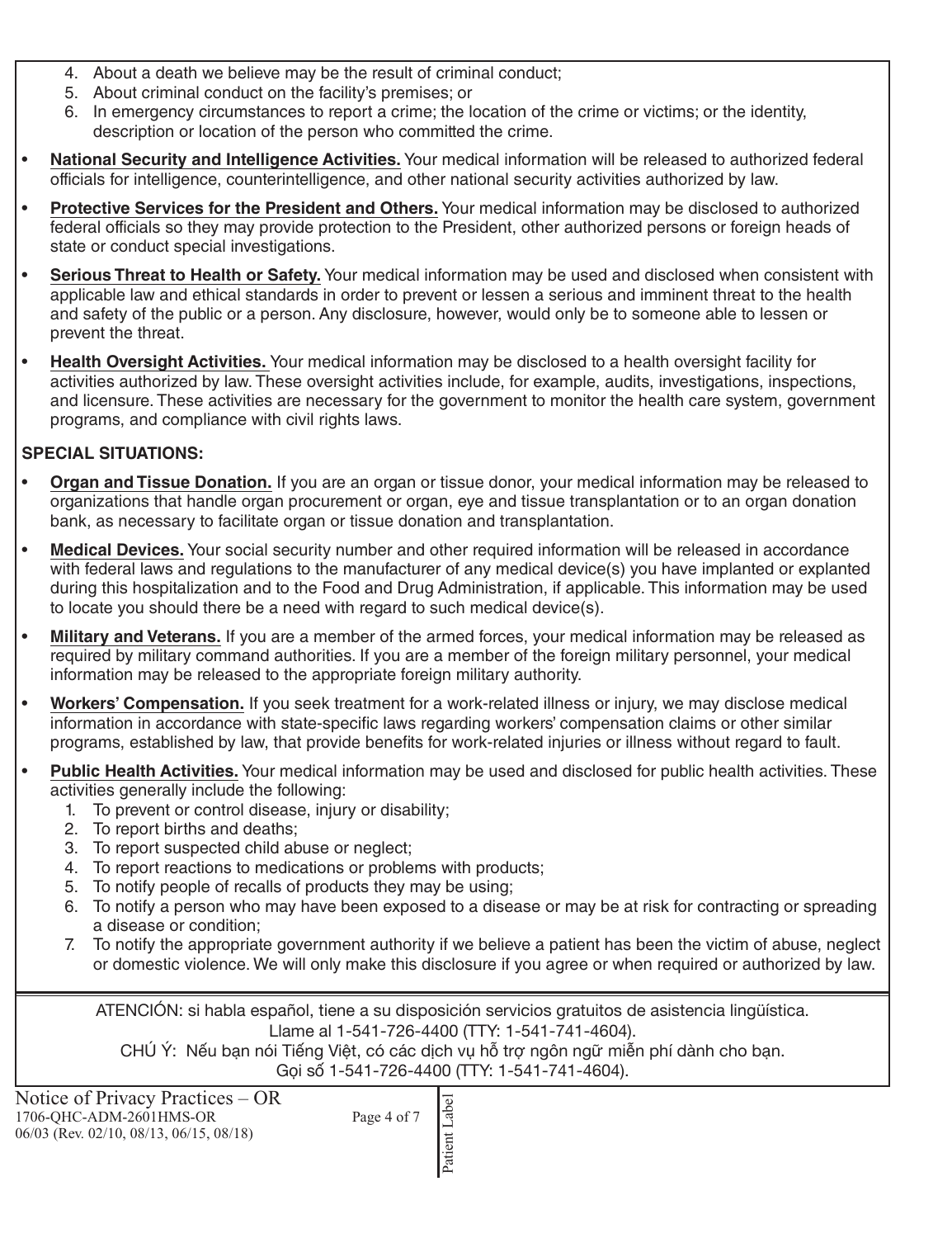- 4. About a death we believe may be the result of criminal conduct;
- 5. About criminal conduct on the facility's premises; or
- 6. In emergency circumstances to report a crime; the location of the crime or victims; or the identity, description or location of the person who committed the crime.
- **National Security and Intelligence Activities.** Your medical information will be released to authorized federal officials for intelligence, counterintelligence, and other national security activities authorized by law.
- **Protective Services for the President and Others.** Your medical information may be disclosed to authorized federal officials so they may provide protection to the President, other authorized persons or foreign heads of state or conduct special investigations.
- **Serious Threat to Health or Safety.** Your medical information may be used and disclosed when consistent with applicable law and ethical standards in order to prevent or lessen a serious and imminent threat to the health and safety of the public or a person. Any disclosure, however, would only be to someone able to lessen or prevent the threat.
- **Health Oversight Activities.** Your medical information may be disclosed to a health oversight facility for activities authorized by law. These oversight activities include, for example, audits, investigations, inspections, and licensure. These activities are necessary for the government to monitor the health care system, government programs, and compliance with civil rights laws.

#### **SPECIAL SITUATIONS:**

- **Organ and Tissue Donation.** If you are an organ or tissue donor, your medical information may be released to organizations that handle organ procurement or organ, eye and tissue transplantation or to an organ donation bank, as necessary to facilitate organ or tissue donation and transplantation.
- **Medical Devices.** Your social security number and other required information will be released in accordance with federal laws and regulations to the manufacturer of any medical device(s) you have implanted or explanted during this hospitalization and to the Food and Drug Administration, if applicable. This information may be used to locate you should there be a need with regard to such medical device(s).
- **Military and Veterans.** If you are a member of the armed forces, your medical information may be released as required by military command authorities. If you are a member of the foreign military personnel, your medical information may be released to the appropriate foreign military authority.
- **Workers' Compensation.** If you seek treatment for a work-related illness or injury, we may disclose medical information in accordance with state-specific laws regarding workers' compensation claims or other similar programs, established by law, that provide benefits for work-related injuries or illness without regard to fault.
- **Public Health Activities.** Your medical information may be used and disclosed for public health activities. These activities generally include the following:
	- 1. To prevent or control disease, injury or disability;
	- 2. To report births and deaths;
	- 3. To report suspected child abuse or neglect;
	- 4. To report reactions to medications or problems with products;
	- 5. To notify people of recalls of products they may be using;
	- 6. To notify a person who may have been exposed to a disease or may be at risk for contracting or spreading a disease or condition;
	- 7. To notify the appropriate government authority if we believe a patient has been the victim of abuse, neglect or domestic violence. We will only make this disclosure if you agree or when required or authorized by law.

ATENCIÓN: si habla español, tiene a su disposición servicios gratuitos de asistencia lingüística. Llame al 1-541-726-4400 (TTY: 1-541-741-4604).

CHÚ Ý: Nếu bạn nói Tiếng Việt, có các dịch vụ hỗ trợ ngôn ngữ miễn phí dành cho bạn.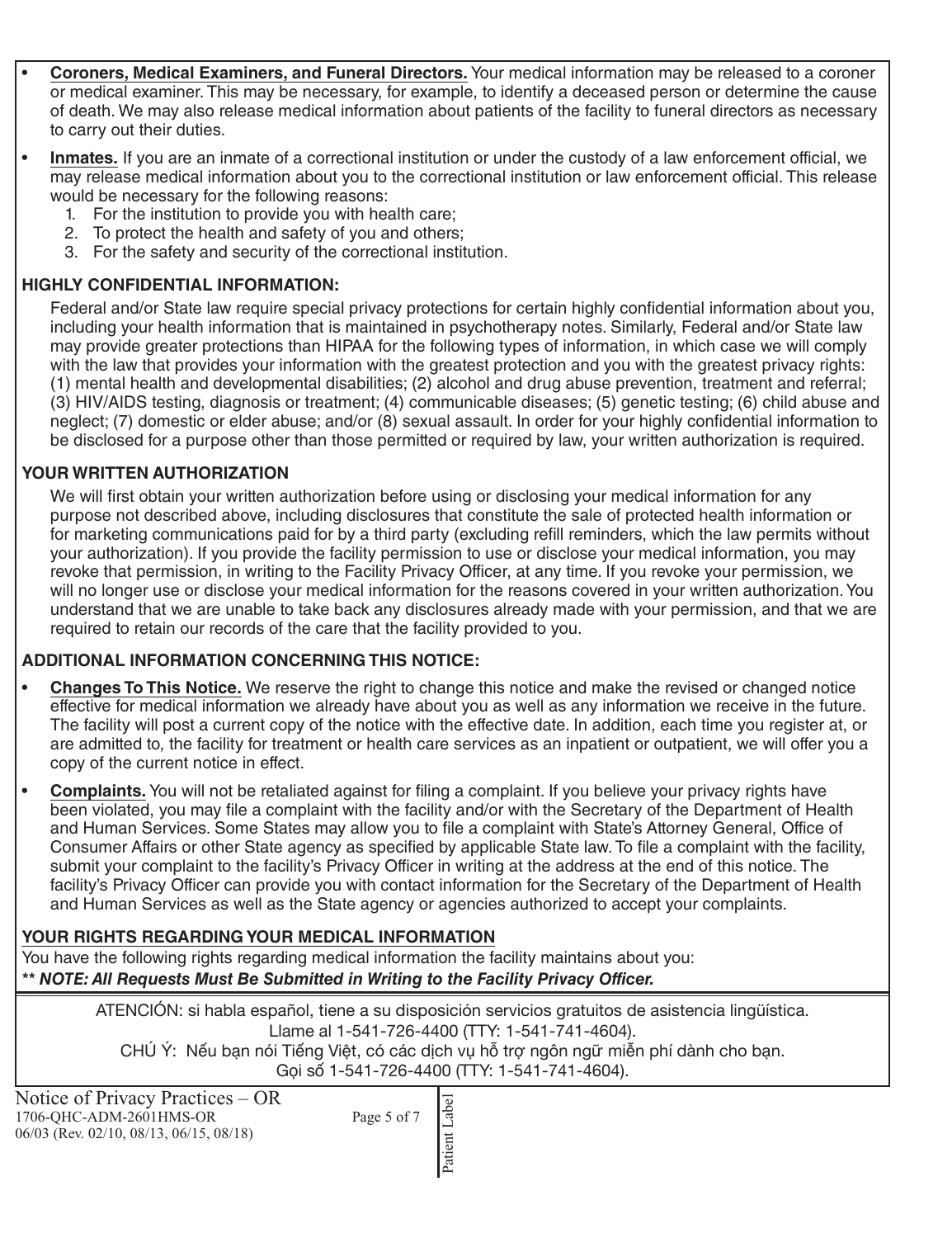- **Coroners, Medical Examiners, and Funeral Directors.** Your medical information may be released to a coroner or medical examiner. This may be necessary, for example, to identify a deceased person or determine the cause of death. We may also release medical information about patients of the facility to funeral directors as necessary to carry out their duties.
- **Inmates.** If you are an inmate of a correctional institution or under the custody of a law enforcement official, we may release medical information about you to the correctional institution or law enforcement official. This release would be necessary for the following reasons:
	- 1. For the institution to provide you with health care;
	- 2. To protect the health and safety of you and others;
	- 3. For the safety and security of the correctional institution.

### **HIGHLY CONFIDENTIAL INFORMATION:**

Federal and/or State law require special privacy protections for certain highly confidential information about you, including your health information that is maintained in psychotherapy notes. Similarly, Federal and/or State law may provide greater protections than HIPAA for the following types of information, in which case we will comply with the law that provides your information with the greatest protection and you with the greatest privacy rights: (1) mental health and developmental disabilities; (2) alcohol and drug abuse prevention, treatment and referral; (3) HIV/AIDS testing, diagnosis or treatment; (4) communicable diseases; (5) genetic testing; (6) child abuse and neglect; (7) domestic or elder abuse; and/or (8) sexual assault. In order for your highly confidential information to be disclosed for a purpose other than those permitted or required by law, your written authorization is required.

## **YOUR WRITTEN AUTHORIZATION**

We will first obtain your written authorization before using or disclosing your medical information for any purpose not described above, including disclosures that constitute the sale of protected health information or for marketing communications paid for by a third party (excluding refill reminders, which the law permits without your authorization). If you provide the facility permission to use or disclose your medical information, you may revoke that permission, in writing to the Facility Privacy Officer, at any time. If you revoke your permission, we will no longer use or disclose your medical information for the reasons covered in your written authorization. You understand that we are unable to take back any disclosures already made with your permission, and that we are required to retain our records of the care that the facility provided to you.

# **ADDITIONAL INFORMATION CONCERNING THIS NOTICE:**

- **Changes To This Notice.** We reserve the right to change this notice and make the revised or changed notice effective for medical information we already have about you as well as any information we receive in the future. The facility will post a current copy of the notice with the effective date. In addition, each time you register at, or are admitted to, the facility for treatment or health care services as an inpatient or outpatient, we will offer you a copy of the current notice in effect.
- **Complaints.** You will not be retaliated against for filing a complaint. If you believe your privacy rights have been violated, you may file a complaint with the facility and/or with the Secretary of the Department of Health and Human Services. Some States may allow you to file a complaint with State's Attorney General, Office of Consumer Affairs or other State agency as specified by applicable State law. To file a complaint with the facility, submit your complaint to the facility's Privacy Officer in writing at the address at the end of this notice. The facility's Privacy Officer can provide you with contact information for the Secretary of the Department of Health and Human Services as well as the State agency or agencies authorized to accept your complaints.

# **YOUR RIGHTS REGARDING YOUR MEDICAL INFORMATION**

You have the following rights regarding medical information the facility maintains about you: *\*\* NOTE: All Requests Must Be Submitted in Writing to the Facility Privacy Officer.*

> ATENCIÓN: si habla español, tiene a su disposición servicios gratuitos de asistencia lingüística. Llame al 1-541-726-4400 (TTY: 1-541-741-4604). CHÚ Ý: Nếu bạn nói Tiếng Việt, có các dịch vụ hỗ trợ ngôn ngữ miễn phí dành cho bạn. Gọi số 1-541-726-4400 (TTY: 1-541-741-4604).

| Notice of Privacy Practices – OR<br>1706-OHC-ADM-2601HMS-OR<br>06/03 (Rev. 02/10, 08/13, 06/15, 08/18) | Page 5 of 7 |  |
|--------------------------------------------------------------------------------------------------------|-------------|--|
|                                                                                                        |             |  |
|                                                                                                        |             |  |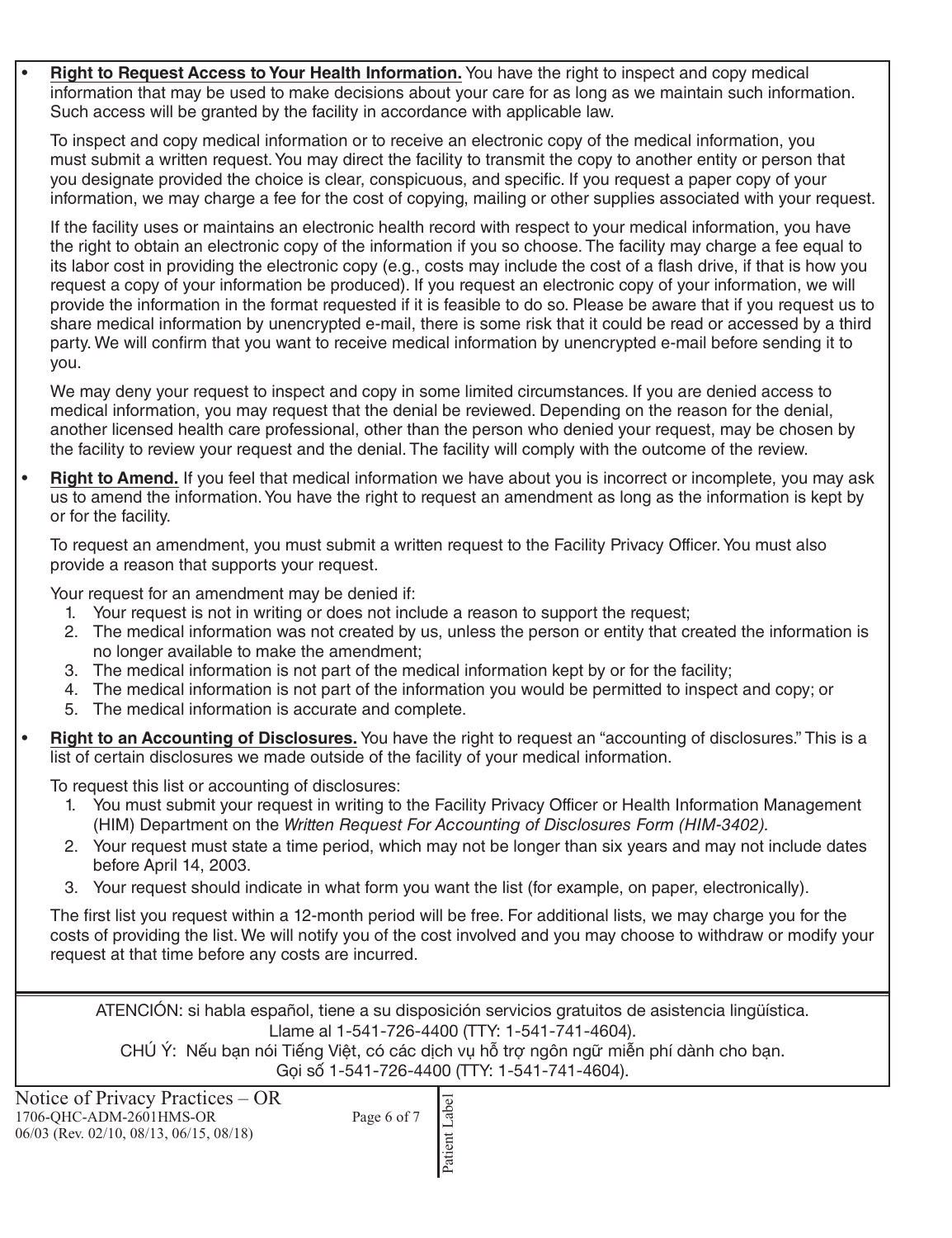• **Right to Request Access to Your Health Information.** You have the right to inspect and copy medical information that may be used to make decisions about your care for as long as we maintain such information. Such access will be granted by the facility in accordance with applicable law.

To inspect and copy medical information or to receive an electronic copy of the medical information, you must submit a written request. You may direct the facility to transmit the copy to another entity or person that you designate provided the choice is clear, conspicuous, and specific. If you request a paper copy of your information, we may charge a fee for the cost of copying, mailing or other supplies associated with your request.

If the facility uses or maintains an electronic health record with respect to your medical information, you have the right to obtain an electronic copy of the information if you so choose. The facility may charge a fee equal to its labor cost in providing the electronic copy (e.g., costs may include the cost of a flash drive, if that is how you request a copy of your information be produced). If you request an electronic copy of your information, we will provide the information in the format requested if it is feasible to do so. Please be aware that if you request us to share medical information by unencrypted e-mail, there is some risk that it could be read or accessed by a third party. We will confirm that you want to receive medical information by unencrypted e-mail before sending it to you.

We may deny your request to inspect and copy in some limited circumstances. If you are denied access to medical information, you may request that the denial be reviewed. Depending on the reason for the denial, another licensed health care professional, other than the person who denied your request, may be chosen by the facility to review your request and the denial. The facility will comply with the outcome of the review.

• **Right to Amend.** If you feel that medical information we have about you is incorrect or incomplete, you may ask us to amend the information. You have the right to request an amendment as long as the information is kept by or for the facility.

To request an amendment, you must submit a written request to the Facility Privacy Officer. You must also provide a reason that supports your request.

Your request for an amendment may be denied if:

- 1. Your request is not in writing or does not include a reason to support the request;
- 2. The medical information was not created by us, unless the person or entity that created the information is no longer available to make the amendment;
- 3. The medical information is not part of the medical information kept by or for the facility;
- 4. The medical information is not part of the information you would be permitted to inspect and copy; or
- 5. The medical information is accurate and complete.
- **Right to an Accounting of Disclosures.** You have the right to request an "accounting of disclosures." This is a list of certain disclosures we made outside of the facility of your medical information.

To request this list or accounting of disclosures:

- 1. You must submit your request in writing to the Facility Privacy Officer or Health Information Management (HIM) Department on the *Written Request For Accounting of Disclosures Form (HIM-3402).*
- 2. Your request must state a time period, which may not be longer than six years and may not include dates before April 14, 2003.
- 3. Your request should indicate in what form you want the list (for example, on paper, electronically).

The first list you request within a 12-month period will be free. For additional lists, we may charge you for the costs of providing the list. We will notify you of the cost involved and you may choose to withdraw or modify your request at that time before any costs are incurred.

ATENCIÓN: si habla español, tiene a su disposición servicios gratuitos de asistencia lingüística. Llame al 1-541-726-4400 (TTY: 1-541-741-4604).

CHÚ Ý: Nếu bạn nói Tiếng Việt, có các dịch vụ hỗ trợ ngôn ngữ miễn phí dành cho bạn.

| Notice of Privacy Practices – OR<br>1706-QHC-ADM-2601HMS-OR<br>06/03 (Rev. 02/10, 08/13, 06/15, 08/18) | Page 6 of 7 |  |
|--------------------------------------------------------------------------------------------------------|-------------|--|
|                                                                                                        |             |  |